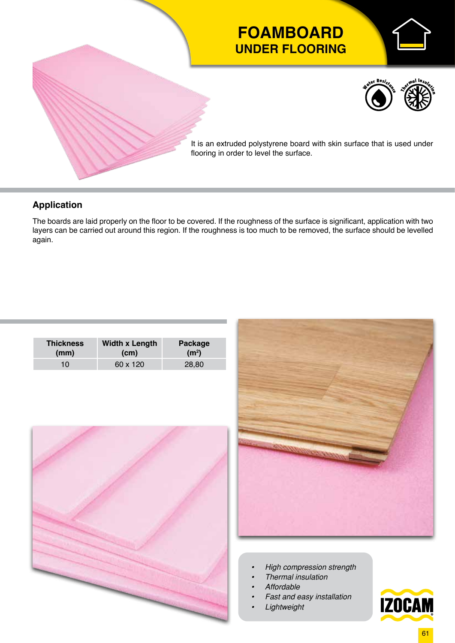

## **Application**

The boards are laid properly on the floor to be covered. If the roughness of the surface is significant, application with two layers can be carried out around this region. If the roughness is too much to be removed, the surface should be levelled again.

| <b>Thickness</b> | <b>Width x Length</b> | Package           |
|------------------|-----------------------|-------------------|
| (mm)             | (c <sub>m</sub> )     | (m <sup>2</sup> ) |
| 10               | 60 x 120              | 28,80             |





- *• High compression strength*
- *• Thermal insulation*
- *• Affordable*
- *• Fast and easy installation*
- *• Lightweight*